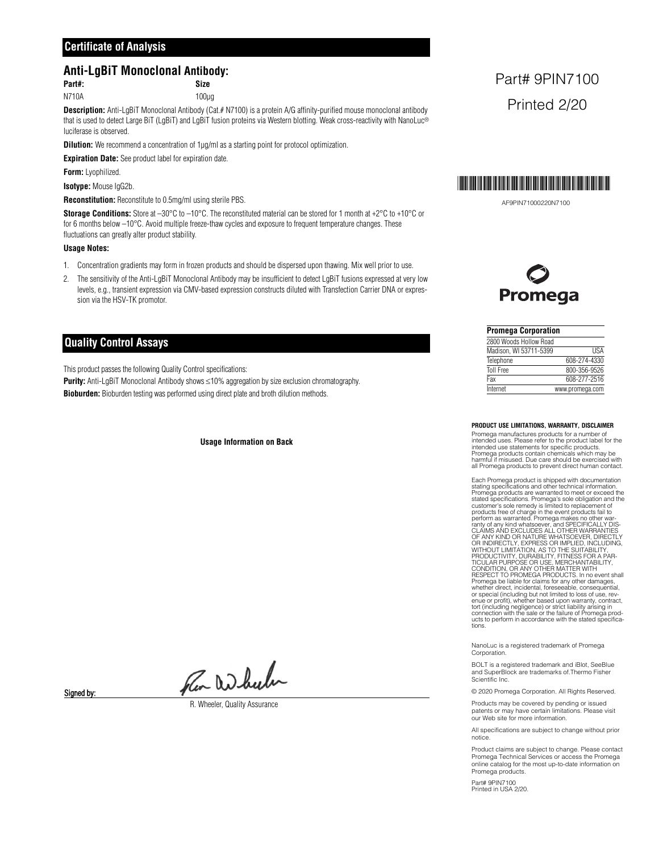## **Certificate of Analysis**

## **Anti-LgBiT Monoclonal Antibody:**

## **Part#: Size**

N710A 100µg

**Description:** Anti-LgBiT Monoclonal Antibody (Cat.# N7100) is a protein A/G affinity-purified mouse monoclonal antibody that is used to detect Large BiT (LgBiT) and LgBiT fusion proteins via Western blotting. Weak cross-reactivity with NanoLuc<sup>®</sup> luciferase is observed.

**Dilution:** We recommend a concentration of 1µg/ml as a starting point for protocol optimization.

**Expiration Date:** See product label for expiration date.

**Form:** Lyophilized.

**Isotype:** Mouse IgG2b.

**Reconstitution:** Reconstitute to 0.5mg/ml using sterile PBS.

**Storage Conditions:** Store at –30°C to –10°C. The reconstituted material can be stored for 1 month at +2°C to +10°C or for 6 months below –10°C. Avoid multiple freeze-thaw cycles and exposure to frequent temperature changes. These fluctuations can greatly alter product stability.

## **Usage Notes:**

- 1. Concentration gradients may form in frozen products and should be dispersed upon thawing. Mix well prior to use.
- 2. The sensitivity of the Anti-LgBiT Monoclonal Antibody may be insufficient to detect LgBiT fusions expressed at very low levels, e.g., transient expression via CMV-based expression constructs diluted with Transfection Carrier DNA or expression via the HSV-TK promotor.

## **Quality Control Assays**

This product passes the following Quality Control specifications:

**Purity:** Anti-LgBiT Monoclonal Antibody shows  $\leq 10\%$  aggregation by size exclusion chromatography.

**Bioburden:** Bioburden testing was performed using direct plate and broth dilution methods.

#### **Usage Information on Back**

Pen Wheeler

Signed by:

R. Wheeler, Quality Assurance

## Part# 9PIN7100 Printed 2/20



AF9PIN71000220N7100

## Promega

| <b>Promega Corporation</b> |                 |
|----------------------------|-----------------|
| 2800 Woods Hollow Road     |                 |
| Madison, WI 53711-5399     | <b>IISA</b>     |
| Telephone                  | 608-274-4330    |
| <b>Toll Free</b>           | 800-356-9526    |
| Fax                        | 608-277-2516    |
| Internet                   | www.promega.com |

**PRODUCT USE LIMITATIONS, WARRANTY, DISCLAIMER**

Promega manufactures products for a number of intended uses. Please refer to the product label for the intended use statements for specific products. Promega products contain chemicals which may be harmful if misused. Due care should be exercised with all Promega products to prevent direct human contact.

Each Promega product is shipped with documentation stating specifications and other technical information. Promega products are warranted to meet or exceed the<br>stated specifications. Promega's sole obligation and the<br>customer's sole remedy is limited to replacement of<br>products free of charge in the event products fail to<br>perfor connection with the sale or strict liability arising in connection with the sale or the failure of Promega products to perform in accordance with the stated specifica-tions.

NanoLuc is a registered trademark of Promega Corporation.

BOLT is a registered trademark and iBlot, SeeBlue and SuperBlock are trademarks of.Thermo Fisher Scientific Inc.

© 2020 Promega Corporation. All Rights Reserved.

Products may be covered by pending or issued patents or may have certain limitations. Please visit our Web site for more information.

All specifications are subject to change without prior notice.

Product claims are subject to change. Please contact Promega Technical Services or access the Promega online catalog for the most up-to-date information on Promega products.

Part# 9PIN7100 Printed in USA 2/20.